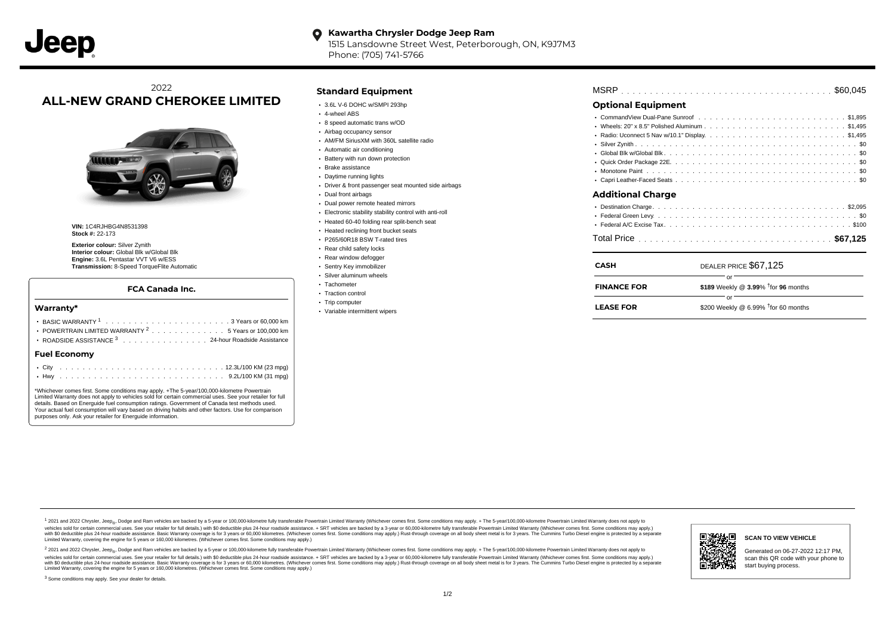#### **Kawartha Chrysler Dodge Jeep Ram**  $\bullet$ 1515 Lansdowne Street West, Peterborough, ON, K9J7M3

Phone: (705) 741-5766

# 2022 **ALL-NEW GRAND CHEROKEE LIMITED**



**VIN:** 1C4RJHBG4N8531398 **Stock #:** 22-173

**Exterior colour:** Silver Zynith **Interior colour:** Global Blk w/Global Blk **Engine:** 3.6L Pentastar VVT V6 w/ESS **Transmission:** 8-Speed TorqueFlite Automatic

### **FCA Canada Inc.**

### **Warranty\***

| POWERTRAIN LIMITED WARRANTY <sup>2</sup> 5 Years or 100,000 km |  |  |  |  |  |
|----------------------------------------------------------------|--|--|--|--|--|
| ROADSIDE ASSISTANCE 3 24-hour Roadside Assistance              |  |  |  |  |  |
| <b>Fuel Economy</b>                                            |  |  |  |  |  |
|                                                                |  |  |  |  |  |

\*Whichever comes first. Some conditions may apply. +The 5-year/100,000-kilometre Powertrain Limited Warranty does not apply to vehicles sold for certain commercial uses. See your retailer for full details. Based on Energuide fuel consumption ratings. Government of Canada test methods used. Your actual fuel consumption will vary based on driving habits and other factors. Use for comparison purposes only. Ask your retailer for Energuide information.

. . . . . . . . . . . . . . . . . . . . . . . . . . . . . . . . . . . . . . . . . . . Hwy 9.2L/100 KM (31 mpg)

# **Standard Equipment**

- $\cdot$  3.6L V-6 DOHC w/SMPI 293hp
- 4-wheel ABS
- 8 speed automatic trans w/OD
- Airbag occupancy sensor
- AM/FM SiriusXM with 360L satellite radio
- Automatic air conditioning
- Battery with run down protection
- Brake assistance
- Daytime running lights
- Driver & front passenger seat mounted side airbags
- Dual front airbags
- Dual power remote heated mirrors
- Electronic stability stability control with anti-roll
- Heated 60-40 folding rear split-bench seat
- Heated reclining front bucket seats
- P265/60R18 BSW T-rated tires
- Rear child safety locks
- Rear window defogger
- Sentry Key immobilizer Silver aluminum wheels
- 
- Tachometer • Traction control
- Trip computer
- Variable intermittent wipers

| <b>MSRP</b> |  |  |  |  |  |  |  |  |  |  |  |  |  |  |  |  |  |  |  |  |  |  |  |  |  |  |  |  |  |
|-------------|--|--|--|--|--|--|--|--|--|--|--|--|--|--|--|--|--|--|--|--|--|--|--|--|--|--|--|--|--|
|-------------|--|--|--|--|--|--|--|--|--|--|--|--|--|--|--|--|--|--|--|--|--|--|--|--|--|--|--|--|--|

# **Optional Equipment**

| Additional Charge |  |
|-------------------|--|

. . . . . . . . . . . . . . . . . . . . . . . . . . . . . . . . . . . . . . . . . . . . . . Total Price **\$67,125**

| <b>CASH</b>        | DEALER PRICE \$67,125                              |
|--------------------|----------------------------------------------------|
| <b>FINANCE FOR</b> | \$189 Weekly @ $3.99\%$ <sup>†</sup> for 96 months |
| <b>LEASE FOR</b>   | Ωľ<br>\$200 Weekly @ 6.99% $†$ for 60 months       |

1 2021 and 2022 Chrysler, Jeep<sub>en</sub> Dodge and Ram vehicles are backed by a 5-year or 100,000-kilometre fully transferable Powertrain Limited Warranty (Whichever comes first. Some conditions may apply. + The 5-year/100,000-k vehicles sold for certain commercial uses. See your retailer for full details.) with \$0 deductible plus 24-hour roadside assistance. + SRT vehicles are backed by a 3-year or 60,000-kilometre fully transferable Powertrain L ventals and contract when the contract when the contract you contract when the contract when the control of the set of a set of a set of a set of 3 years of 60,000 kilometres. Whichever comes first. Some conditions may app Limited Warranty, covering the engine for 5 years or 160,000 kilometres. (Whichever comes first. Some conditions may apply.)

<sup>2</sup> 2021 and 2022 Chrysler, Jeep<sub>®</sub>, Dodge and Ram vehicles are backed by a 5-year or 100,000-kilometre fully transferable Powertrain Limited Warranty (Whichever comes first. Some conditions may apply. + The 5-year/100,000 vehicles sold for certain commercial uses. See your retailer for full details.) with SO deductible plus 24-hour roadside assistance. + SRT vehicles are backed by a 3-year or 60.000-kilometre fully transferable Powertrain L with S0 deductible plus 24-hour roadside assistance. Basic Warranty coverage is for 3 years or 60,000 kilometres. (Whichever comes first. Some conditions may apply.) Rust-through coverage on all body sheet metal is for 3 y



## **SCAN TO VIEW VEHICLE**

Generated on 06-27-2022 12:17 PM, scan this QR code with your phone to start buying process.

<sup>3</sup> Some conditions may apply. See your dealer for details.